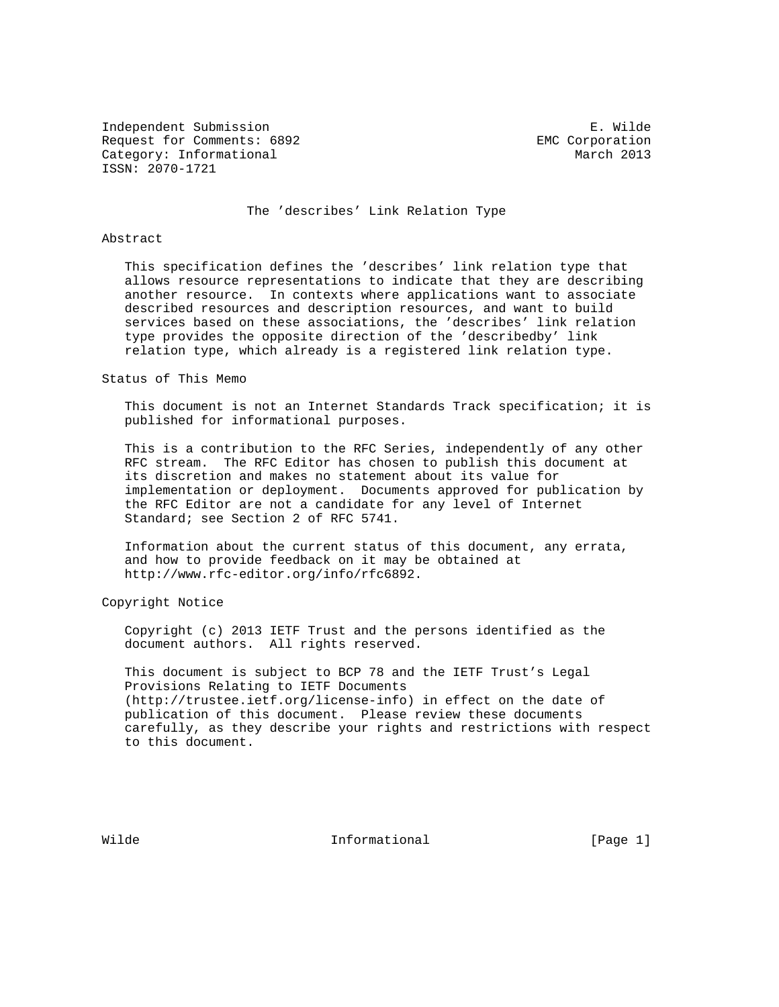Independent Submission E. Wilde Request for Comments: 6892 EMC Corporation Category: Informational and March 2013 ISSN: 2070-1721

The 'describes' Link Relation Type

### Abstract

 This specification defines the 'describes' link relation type that allows resource representations to indicate that they are describing another resource. In contexts where applications want to associate described resources and description resources, and want to build services based on these associations, the 'describes' link relation type provides the opposite direction of the 'describedby' link relation type, which already is a registered link relation type.

#### Status of This Memo

 This document is not an Internet Standards Track specification; it is published for informational purposes.

 This is a contribution to the RFC Series, independently of any other RFC stream. The RFC Editor has chosen to publish this document at its discretion and makes no statement about its value for implementation or deployment. Documents approved for publication by the RFC Editor are not a candidate for any level of Internet Standard; see Section 2 of RFC 5741.

 Information about the current status of this document, any errata, and how to provide feedback on it may be obtained at http://www.rfc-editor.org/info/rfc6892.

Copyright Notice

 Copyright (c) 2013 IETF Trust and the persons identified as the document authors. All rights reserved.

 This document is subject to BCP 78 and the IETF Trust's Legal Provisions Relating to IETF Documents (http://trustee.ietf.org/license-info) in effect on the date of publication of this document. Please review these documents carefully, as they describe your rights and restrictions with respect to this document.

Wilde **Informational** Informational **Informational** [Page 1]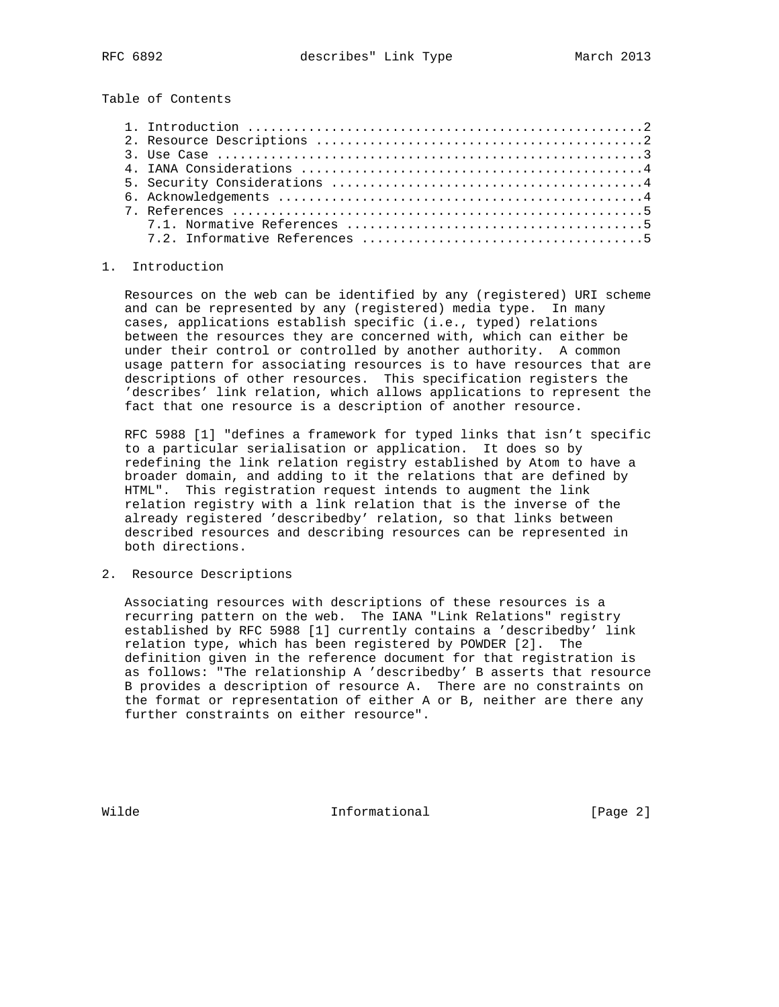Table of Contents

### 1. Introduction

 Resources on the web can be identified by any (registered) URI scheme and can be represented by any (registered) media type. In many cases, applications establish specific (i.e., typed) relations between the resources they are concerned with, which can either be under their control or controlled by another authority. A common usage pattern for associating resources is to have resources that are descriptions of other resources. This specification registers the 'describes' link relation, which allows applications to represent the fact that one resource is a description of another resource.

 RFC 5988 [1] "defines a framework for typed links that isn't specific to a particular serialisation or application. It does so by redefining the link relation registry established by Atom to have a broader domain, and adding to it the relations that are defined by HTML". This registration request intends to augment the link relation registry with a link relation that is the inverse of the already registered 'describedby' relation, so that links between described resources and describing resources can be represented in both directions.

## 2. Resource Descriptions

 Associating resources with descriptions of these resources is a recurring pattern on the web. The IANA "Link Relations" registry established by RFC 5988 [1] currently contains a 'describedby' link relation type, which has been registered by POWDER [2]. The definition given in the reference document for that registration is as follows: "The relationship A 'describedby' B asserts that resource B provides a description of resource A. There are no constraints on the format or representation of either A or B, neither are there any further constraints on either resource".

Wilde **Informational Informational** [Page 2]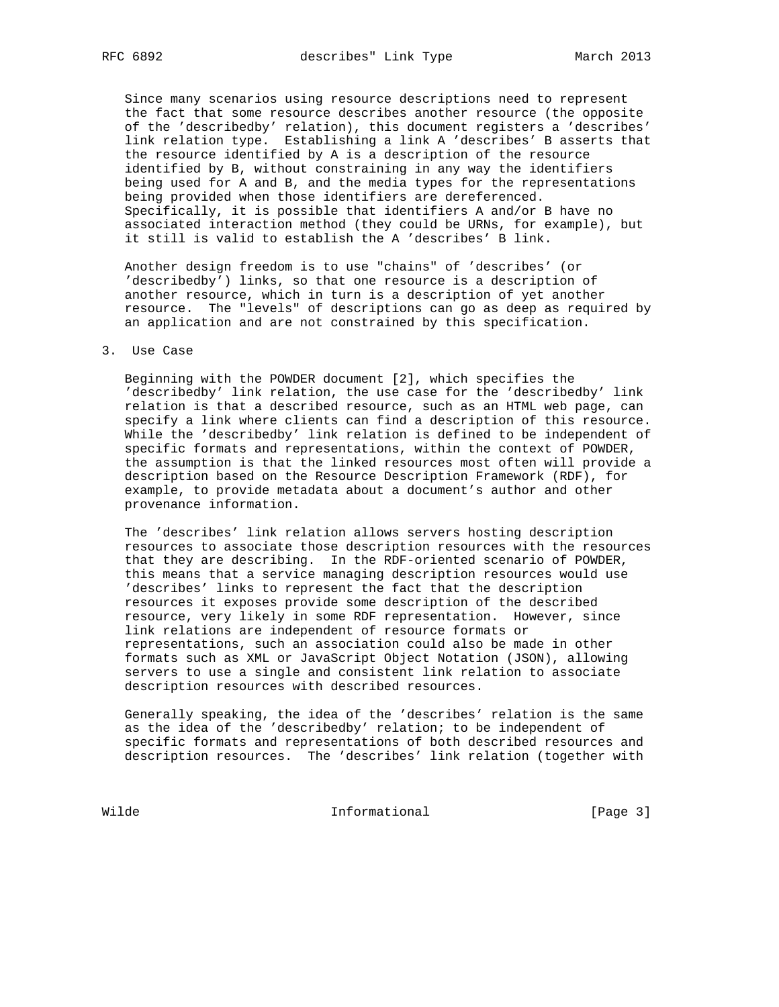Since many scenarios using resource descriptions need to represent the fact that some resource describes another resource (the opposite of the 'describedby' relation), this document registers a 'describes' link relation type. Establishing a link A 'describes' B asserts that the resource identified by A is a description of the resource identified by B, without constraining in any way the identifiers being used for A and B, and the media types for the representations being provided when those identifiers are dereferenced. Specifically, it is possible that identifiers A and/or B have no associated interaction method (they could be URNs, for example), but it still is valid to establish the A 'describes' B link.

 Another design freedom is to use "chains" of 'describes' (or 'describedby') links, so that one resource is a description of another resource, which in turn is a description of yet another resource. The "levels" of descriptions can go as deep as required by an application and are not constrained by this specification.

### 3. Use Case

 Beginning with the POWDER document [2], which specifies the 'describedby' link relation, the use case for the 'describedby' link relation is that a described resource, such as an HTML web page, can specify a link where clients can find a description of this resource. While the 'describedby' link relation is defined to be independent of specific formats and representations, within the context of POWDER, the assumption is that the linked resources most often will provide a description based on the Resource Description Framework (RDF), for example, to provide metadata about a document's author and other provenance information.

 The 'describes' link relation allows servers hosting description resources to associate those description resources with the resources that they are describing. In the RDF-oriented scenario of POWDER, this means that a service managing description resources would use 'describes' links to represent the fact that the description resources it exposes provide some description of the described resource, very likely in some RDF representation. However, since link relations are independent of resource formats or representations, such an association could also be made in other formats such as XML or JavaScript Object Notation (JSON), allowing servers to use a single and consistent link relation to associate description resources with described resources.

 Generally speaking, the idea of the 'describes' relation is the same as the idea of the 'describedby' relation; to be independent of specific formats and representations of both described resources and description resources. The 'describes' link relation (together with

Wilde **Informational Informational** [Page 3]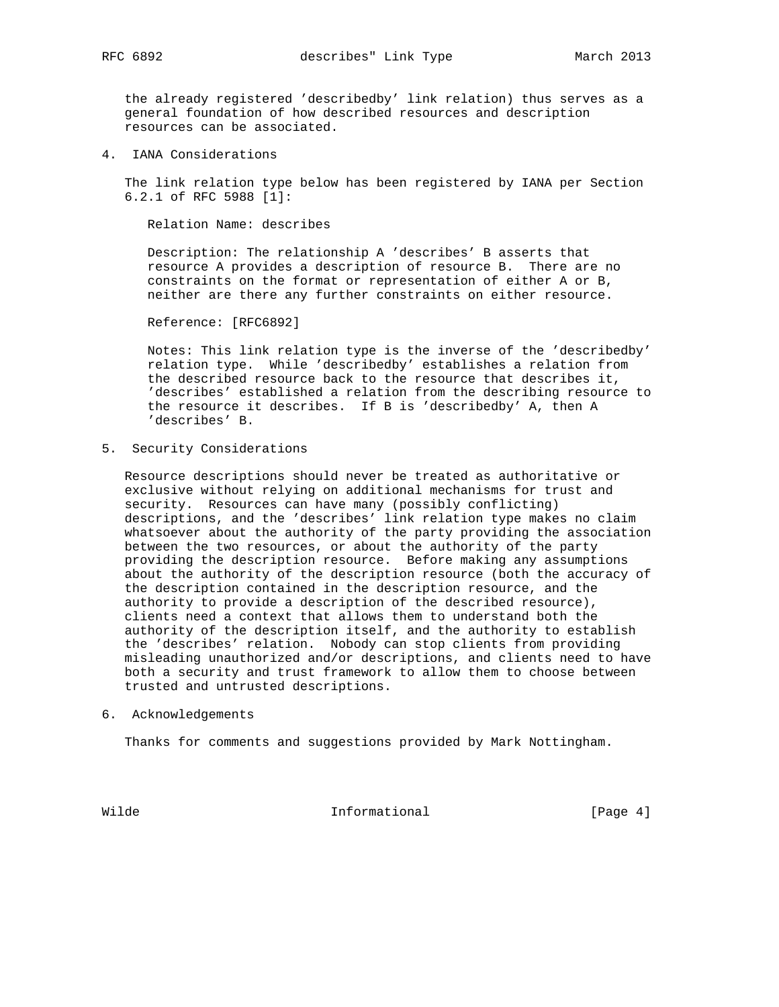the already registered 'describedby' link relation) thus serves as a general foundation of how described resources and description resources can be associated.

4. IANA Considerations

 The link relation type below has been registered by IANA per Section 6.2.1 of RFC 5988 [1]:

Relation Name: describes

 Description: The relationship A 'describes' B asserts that resource A provides a description of resource B. There are no constraints on the format or representation of either A or B, neither are there any further constraints on either resource.

Reference: [RFC6892]

 Notes: This link relation type is the inverse of the 'describedby' relation type. While 'describedby' establishes a relation from the described resource back to the resource that describes it, 'describes' established a relation from the describing resource to the resource it describes. If B is 'describedby' A, then A 'describes' B.

5. Security Considerations

 Resource descriptions should never be treated as authoritative or exclusive without relying on additional mechanisms for trust and security. Resources can have many (possibly conflicting) descriptions, and the 'describes' link relation type makes no claim whatsoever about the authority of the party providing the association between the two resources, or about the authority of the party providing the description resource. Before making any assumptions about the authority of the description resource (both the accuracy of the description contained in the description resource, and the authority to provide a description of the described resource), clients need a context that allows them to understand both the authority of the description itself, and the authority to establish the 'describes' relation. Nobody can stop clients from providing misleading unauthorized and/or descriptions, and clients need to have both a security and trust framework to allow them to choose between trusted and untrusted descriptions.

6. Acknowledgements

Thanks for comments and suggestions provided by Mark Nottingham.

Wilde **Informational Informational** [Page 4]